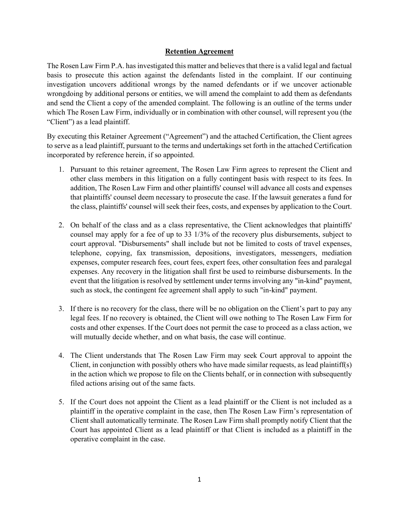## **Retention Agreement**

The Rosen Law Firm P.A. has investigated this matter and believes that there is a valid legal and factual basis to prosecute this action against the defendants listed in the complaint. If our continuing investigation uncovers additional wrongs by the named defendants or if we uncover actionable wrongdoing by additional persons or entities, we will amend the complaint to add them as defendants and send the Client a copy of the amended complaint. The following is an outline of the terms under which The Rosen Law Firm, individually or in combination with other counsel, will represent you (the "Client") as a lead plaintiff.

By executing this Retainer Agreement ("Agreement") and the attached Certification, the Client agrees to serve as a lead plaintiff, pursuant to the terms and undertakings set forth in the attached Certification incorporated by reference herein, if so appointed.

- 1. Pursuant to this retainer agreement, The Rosen Law Firm agrees to represent the Client and other class members in this litigation on a fully contingent basis with respect to its fees. In addition, The Rosen Law Firm and other plaintiffs' counsel will advance all costs and expenses that plaintiffs' counsel deem necessary to prosecute the case. If the lawsuit generates a fund for the class, plaintiffs' counsel will seek their fees, costs, and expenses by application to the Court.
- 2. On behalf of the class and as a class representative, the Client acknowledges that plaintiffs' counsel may apply for a fee of up to 33 1/3% of the recovery plus disbursements, subject to court approval. "Disbursements" shall include but not be limited to costs of travel expenses, telephone, copying, fax transmission, depositions, investigators, messengers, mediation expenses, computer research fees, court fees, expert fees, other consultation fees and paralegal expenses. Any recovery in the litigation shall first be used to reimburse disbursements. In the event that the litigation is resolved by settlement under terms involving any "in-kind" payment, such as stock, the contingent fee agreement shall apply to such "in-kind" payment.
- 3. If there is no recovery for the class, there will be no obligation on the Client's part to pay any legal fees. If no recovery is obtained, the Client will owe nothing to The Rosen Law Firm for costs and other expenses. If the Court does not permit the case to proceed as a class action, we will mutually decide whether, and on what basis, the case will continue.
- 4. The Client understands that The Rosen Law Firm may seek Court approval to appoint the Client, in conjunction with possibly others who have made similar requests, as lead plaintiff(s) in the action which we propose to file on the Clients behalf, or in connection with subsequently filed actions arising out of the same facts.
- 5. If the Court does not appoint the Client as a lead plaintiff or the Client is not included as a plaintiff in the operative complaint in the case, then The Rosen Law Firm's representation of Client shall automatically terminate. The Rosen Law Firm shall promptly notify Client that the Court has appointed Client as a lead plaintiff or that Client is included as a plaintiff in the operative complaint in the case.